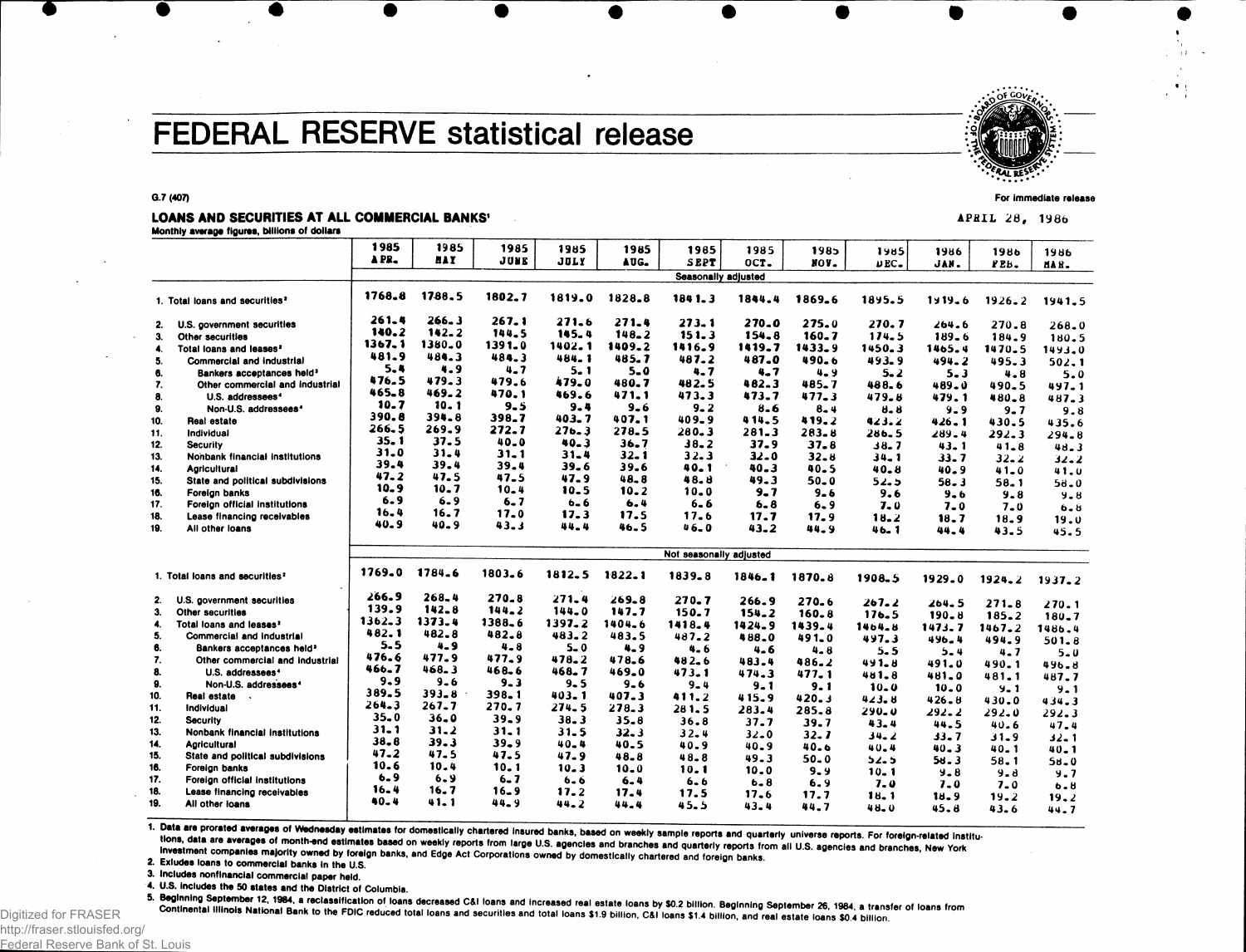# **FEDERAL RESERVE statistical release**

#### **G.7 (407)**

#### LOANS AND SECURITIES AT ALL COMMERCIAL BANKS'

**Monthly** average figures, billions of dollars

|     |                                            | 1985       | 1985       | 1985      | 1985      | 1985     | 1985                       | 1985      | 1985      | 1985             | 1986               | 1986       | 1986      |
|-----|--------------------------------------------|------------|------------|-----------|-----------|----------|----------------------------|-----------|-----------|------------------|--------------------|------------|-----------|
|     |                                            | APR.       | <b>HAY</b> | JUNE      | JOLY      | AUG.     | <b>SEPT</b>                | OCT.      | NOV.      | $UEC -$          | JAN.               | PEB.       | MAR.      |
|     |                                            |            |            |           |           |          | <b>Seasonally adjusted</b> |           |           |                  |                    |            |           |
|     | 1. Total loans and securities <sup>2</sup> | 1768.8     | 1788.5     | 1802.7    | 1819.0    | 1828.8   | 1841.3                     | 1844.4    | 1869.6    | 1895.5           | $1919 - 6$         | $1926 - 2$ | 1941.5    |
| 2.  | U.S. government securities                 | 261.4      | 266.3      | 267.1     | 271.6     | 271.4    | 273.1                      | 270.0     | 275.0     | 270.7            | 264.6              | 270.8      | $268 - 0$ |
| 3.  | Other securities                           | 140.2      | $142 - 2$  | 144.5     | 145.4     | 148.2    | 151.3                      | $154 - 8$ | $160 - 7$ | 174.5            | 189.6              | 184.9      | 180.5     |
| 4.  | Total loans and leases?                    | 1367.1     | 1380.0     | 1391.0    | 1402.1    | 1409.2   | 1416.9                     | 1419.7    | 1433.9    | 1450.3           | 1465.4             | 1470.5     | 1493.0    |
| 5.  | Commercial and industrial                  | 481.9      | 484.3      | 484.3     | 484.1     | 485.7    | 487.2                      | 487.0     | 490.6     | 493.9            | $494 - 2$          | 495.3      | 502.1     |
| 6.  | Bankers acceptances held <sup>3</sup>      | 5.4        | 4.9        | $4 - 7$   | $5 - 1$   | $5 - 0$  | 4.7                        | $4 - 7$   | 4.9       | $5 - 2$          | $5 - 3$            | 4.8        | 5.0       |
| 7.  | Other commercial and industrial            | 476.5      | 479.3      | 479.6     | 479.0     | 480.7    | 482.5                      | 482.3     | 485.7     | 488.6            | 489.0              | 490.5      | 497.1     |
| 8.  | U.S. addressees <sup>4</sup>               | 465.8      | 469.2      | 470.1     | 469.6     | 471.1    | 473.3                      | 473.7     | 477.3     | 479.8            | 479.1              | 480.8      | 487.3     |
| 9.  | Non-U.S. addressees <sup>4</sup>           | 10.7       | 10.1       | $9 - 5$   | 9.4       | $9 - 6$  | $9 - 2$                    | 8.6       | $8 - 4$   | $8 - 8$          | $9 - 9$            | $9 - 7$    | 9.8       |
| 10. | Real estate                                | 390.8      | 394.8      | 398.7     | 403.7     | 407.1    | 409.9                      | 414.5     | 419.2     | 423.2            | 426.1              | 430.5      | 435.6     |
| 11. | Individual                                 | 266.5      | 269.9      | 272.7     | $27b-3$   | 278.5    | 280.3                      | 281.3     | $283 - 8$ | 286.5            | $289 - 4$          | 292.3      | 294.8     |
| 12. | <b>Security</b>                            | $35 - 1$   | 37.5       | 40.0      | $40 - 3$  | 36.7     | $38 - 2$                   | 37.9      | $37 - 8$  | 38.7             | 43.1               | $41 - 8$   | 48.3      |
| 13. | Nonbank financial institutions             | 31.0       | 31.4       | $31 - 1$  | 31.4      | $32 - 1$ | 32.3                       | $32 - 0$  | $32 - 8$  | $34 - 1$         | 33.7               | $32 - 2$   | $32 - 2$  |
| 14. | <b>Agricultural</b>                        | 39.4       | 39.4       | 39.4      | $39 - 6$  | 39.6     | $40 - 1$                   | 40.3      | 40.5      | $40 - 8$         | 40.9               | $41 - 0$   | 41.0      |
| 15. | State and political subdivisions           | 47.2       | 47.5       | 47.5      | 47.9      | 48.8     | 48.B                       | 49.3      | $50 - 0$  | 52.5             | 58.3               | 58.1       | $58 - 0$  |
| 16. | Foreign banks                              | 10.9       | 10.7       | $10 - 4$  | 10.5      | 10.2     | $10 - 0$                   | $9 - 7$   | $9 - 6$   | 9.6              | $9 - 6$            | 9.8        | $9 - 8$   |
| 17. | Foreign official institutions              | 6.9        | 6.9        | $6 - 7$   | $6 - 6$   | 6.4      | $6 - 6$                    | $6 - 8$   | 6.9       | 7.0              | $7 - 0$            | $7 - 0$    | $6 - 8$   |
| 18. | Lease financing receivables                | 16.4       | 16.7       | 17.0      | 17.3      | 17.5     | 17.6                       | 17.7      | 17.9      | 18.2             | 18.7               | 18.9       | 19.0      |
| 19. | All other loans                            | 40.9       | 40.9       | 43.3      | 44.4      | 46.5     | 46.0                       | $43 - 2$  | 44.9      | 46.1             | 44.4               | 43.5       | 45.5      |
|     |                                            |            |            |           |           |          | Not seasonally adjusted    |           |           |                  |                    |            |           |
|     | 1. Total loans and securities <sup>2</sup> | 1769.0     | 1784.6     | 1803.6    | 1812.5    | 1822.1   | 1839.8                     | 1846.1    | 1870.8    | 1908.5           | 1929.0             | 1924.2     | 1937.2    |
| 2.  | U.S. government securities                 | 266.9      | $268 - 4$  | $270 - 8$ | 271.4     | 269.8    | $270 - 7$                  | 266.9     | 270.6     | 267.2            |                    |            |           |
| 3.  | Other securities                           | 139.9      | 142.8      | $144 - 2$ | 144.0     | 147.7    | 150.7                      | $154 - 2$ | 160.8     | 176.5            | 264.5<br>$190 - 8$ | $271 - 8$  | 270.1     |
| 4.  | Total loans and leases <sup>2</sup>        | $1362 - 3$ | 1373.4     | 1388.6    | 1397.2    | 1404.6   | 1418.4                     | 1424.9    | 1439.4    | 1464.8           |                    | $185 - 2$  | $180 - 7$ |
| 5.  | Commercial and industrial                  | 482.1      | 482.8      | 482.8     | $483 - 2$ | 483.5    | 487.2                      | 488.0     | 491.0     | 497.3            | 1473.7<br>496.4    | 1467.2     | 1486.4    |
| 6.  | Bankers acceptances held <sup>3</sup>      | 5.5        | $4 - 9$    | $4 - 8$   | $5 - 0$   | 4.9      | 4.6                        | 4.6       | $4 - 8$   | 5.5              |                    | 494.9      | 501.8     |
| 7.  | Other commercial and industrial            | 476.6      | 477.9      | 477.9     | 478.2     | 478.6    | 482.6                      | 483.4     | 486.2     | $491 - 8$        | $5 - 4$<br>491.0   | 4.7        | $5 - 0$   |
| 8.  | U.S. addressees <sup>4</sup>               | 466.7      | 468.3      | 468.6     | 468.7     | 469.0    | 473.1                      | 474.3     | 477.1     | 481.8            | 481.0              | 490.1      | 496.8     |
| 9.  | Non-U.S. addressees <sup>4</sup>           | $9 - 9$    | $9 - 6$    | $9 - 3$   | $9 - 5$   | $9 - 6$  | $9 - 4$                    | $9 - 1$   | 9.1       | $10 - 0$         | $10 - 0$           | 481.1      | 487.7     |
| 10. | Real estate                                | 389.5      | $393 - 8$  | $398 - 1$ | 403.1     | 407.3    | 411.2                      | 415.9     | 420.3     | 423.8            | 426.8              | $9 - 1$    | $9 - 1$   |
| 11. | Individual                                 | 264.3      | 267.7      | $270 - 7$ | 274.5     | 278.3    | 281.5                      | 283.4     | 285.8     | $290 - 0$        |                    | 430.0      | 434.3     |
| 12. | <b>Security</b>                            | 35.0       | $36 - 0$   | $39 - 9$  | $38 - 3$  | 35.8     | 36.8                       | 37.7      | 39.7      | $43 - 4$         | 292.2              | 292.0      | 292.3     |
| 13. | Nonbank financial institutions             | 31.1       | 31.2       | $31 - 1$  | $31 - 5$  | 32.3     | $32 - 4$                   | $32 - 0$  | 32.7      |                  | 44.5               | 40.6       | 47.4      |
| 14. | <b>Agricultural</b>                        | 38.8       | 39.3       | $39 - 9$  | $40 - 4$  | 40.5     | 40.9                       | 40.9      | 40.6      | 34.2<br>40.4     | 33.7               | 31.9       | $32 - 1$  |
| 15. | State and political subdivisions           | 47.2       | 47.5       | 47.5      | 47.9      | 48.8     | 48.8                       | 49.3      | $50 - 0$  |                  | 40.3               | 40.1       | $40 - 1$  |
| 16. | Foreign banks                              | 10.6       | 10.4       | $10 - 1$  | 10.3      | 10.0     | 10.1                       | 10.0      | $9 - 9$   | ذ ـَ د           | 56.3               | 58.1       | $58 - 0$  |
| 17. | Foreign official institutions              | $6 - 9$    | 6.9        | $6 - 7$   | $6 - 6$   | $6 - 4$  | $6 - 6$                    | $6 - 8$   | 6.9       | 10. 1<br>$7 - 0$ | $9 - 8$            | $9 - 8$    | 9.7       |
| 18. | Lease financing receivables                | 16.4       | 16.7       | $16 - 9$  | 17.2      | 17.4     | 17.5                       | 17.6      | 17.7      |                  | $7 - 0$            | $7 - 0$    | 6.8       |
| 19. | All other loans                            | $40 - 4$   | 41.1       | $44 - 9$  | 44.2      | 44.4     | 45.5                       | $43 - 4$  | 44.7      | 18. 1<br>48.0    | 18.9               | 19.2       | 19.2      |
|     |                                            |            |            |           |           |          |                            |           |           |                  | 45.8               | 43.6       | 44.7      |

1. Data are prorated averages of Wednesday estimates for domestically chartered insured banks, based on weekly sample reports and quarterly universe reports. For foreign-related institutions, data are averages of month-end estimates for confesiously related to the term is passed on weekly sample reports and quarterly universe reports. For foreign-related institutions, data are averages of month-end estim

investment companies majority owned by foreign banks, and Edge Act Corporations owned by domestically chartered and foreign banks.<br>2. Exiudes loans to commercial banks in the U.S.

3. Includes nonflnanclal commercial paper held.

4. U.S. includes the 50 states and the District of Columbia.<br>5. Beginning September 12, 1984, a reclassification of loans decreased C&I loans and increased real estate loans by \$0.2 billion. Beginning September 26, 1984, a Continental Illinois National Bank to the FDIC reduced total loans and securities and total loans \$1.9 billion, C&I Ioans \$1.4 billion, and real estate loans \$0.4 billion.

For immediate release



APRIL 28, 1986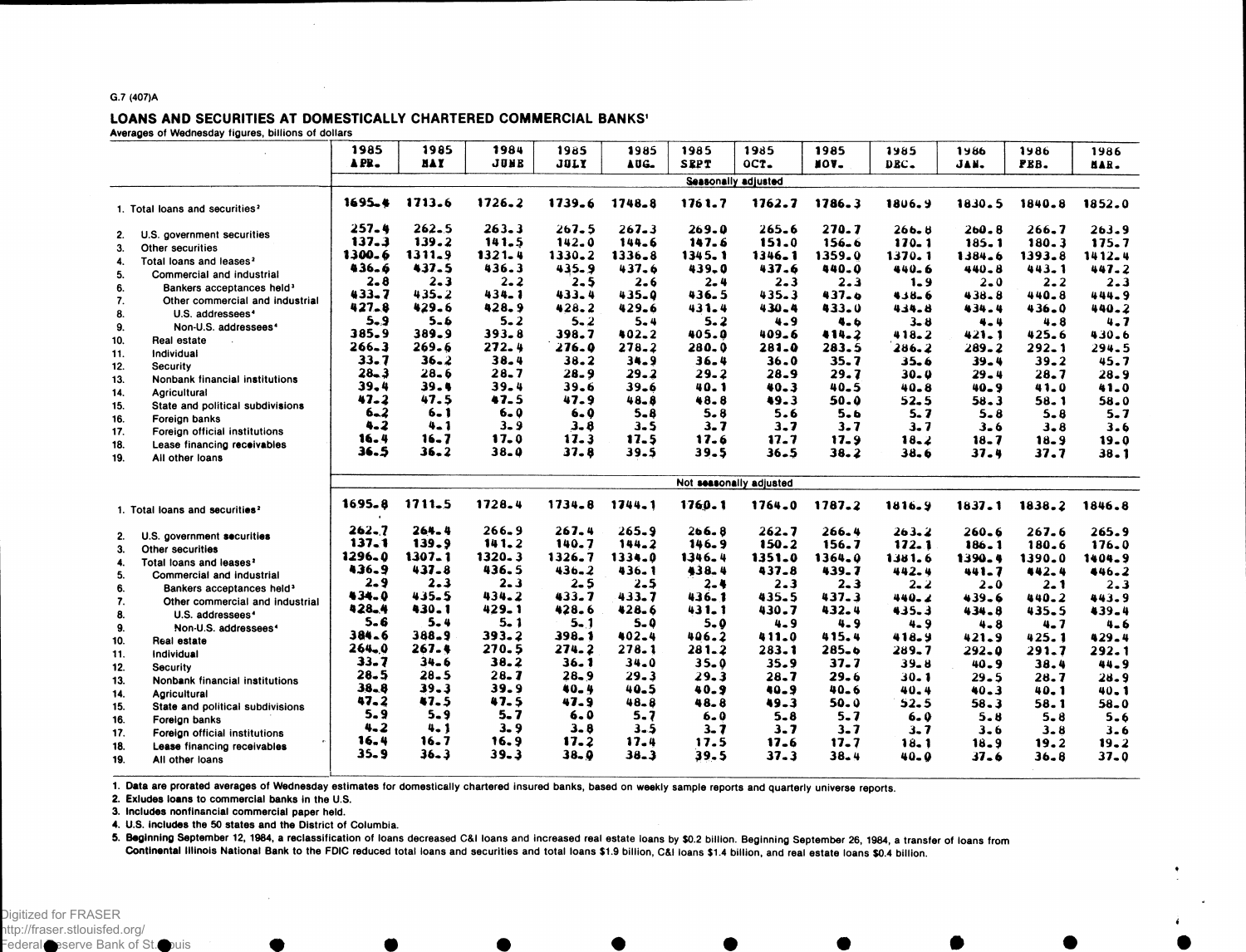#### G.7 (407)A

#### LOANS AND SECURITIES AT DOMESTICALLY CHARTERED COMMERCIAL BANKS' Averages of Wednesday figures, billions of dollars

|            |                                                              | 1985                       | 1985       | 1984      | 1985        | 1985      | 1985        | 1985                    | 1985      | 1985      | 1986      | 1986      | 1986     |
|------------|--------------------------------------------------------------|----------------------------|------------|-----------|-------------|-----------|-------------|-------------------------|-----------|-----------|-----------|-----------|----------|
|            |                                                              | APR.                       | <b>NAY</b> | JUNE      | <b>JULY</b> | AUG.      | <b>SEPT</b> | OCT.                    | IOV.      | DEC.      | JAN.      | PEB.      |          |
|            |                                                              |                            |            |           |             |           |             |                         |           |           |           |           | MAR.     |
|            |                                                              | <b>Seasonally adjusted</b> |            |           |             |           |             |                         |           |           |           |           |          |
|            | 1. Total loans and securities <sup>2</sup>                   | $1695 - 4$                 | 1713.6     | 1726.2    | 1739.6      | 1748.8    | 1761.7      | 1762.7                  | 1786.3    | 1806.9    | 1830.5    | 1840.8    | 1852.0   |
| 2.         | U.S. government securities                                   | $257 - 4$                  | $262 - 5$  | 263.3     | 267.5       | $267 - 3$ | 269.0       | 265.6                   | 270.7     | 266.8     | $260 - 8$ | 266.7     | 263.9    |
| 3.         | Other securities                                             | 137.3                      | 139.2      | 141.5     | 142.0       | 144.6     | 147.6       | 151.0                   | $156 - 6$ | $170 - 1$ | 185.1     | 180.3     | 175.7    |
| 4.         | Total loans and leases <sup>2</sup>                          | 1300.6                     | $1311 - 9$ | 1321.4    | 1330.2      | 1336.8    | 1345.1      | 1346.1                  | 1359.0    | 1370.1    | 1384.6    | 1393.8    | 1412.4   |
| 5.         | Commercial and industrial                                    | 436.6                      | 437.5      | 436.3     | 435.9       | 437.6     | 439.0       | 437.6                   | 440.0     | 440.6     | 440.8     | 443.1     | 447.2    |
| 6.         | Bankers acceptances held <sup>3</sup>                        | $2 - 8$                    | $2 - 3$    | $2 - 2$   | $2 - 5$     | 2.6       | $2 - 4$     | $2 - 3$                 | $2 - 3$   | $1 - 9$   | $2 - 0$   | $2 - 2$   | $2 - 3$  |
| 7.         | Other commercial and industrial                              | $433 - 7$                  | 435.2      | 434.1     | 433.4       | 435.0     | 436.5       | 435.3                   | 437.6     | $438 - 6$ | 438.8     | 440.8     | 444.9    |
| 8.         | U.S. addressees <sup>4</sup>                                 | $427 - 8$                  | 429.6      | 428.9     | 428.2       | 429.6     | 431.4       | $430 - 4$               | 433.0     | 434.8     | 434.4     | 436.0     | 440.2    |
| 9.         | Non-U.S. addressees <sup>4</sup>                             | $5 - 9$                    | $5 - 6$    | $5 - 2$   | $5 - 2$     | $5 - 4$   | $5 - 2$     | 4.9                     | 4.6       | $3 - 8$   | $4 - 4$   | $4 - 8$   | $4 - 7$  |
|            | Real estate                                                  | 385.9                      | 389.9      | $393 - 8$ | 398.7       | 402.2     | 405.0       | 409.6                   | 414.2     | 418.2     | 421.1     | 425.6     | 430.6    |
| 10.        | Individual                                                   | $266 - 3$                  | 269.6      | 272.4     | 276.0       | 278.2     | 280.0       | 281.0                   | 283.5     | 286.2     | 289.2     | $292 - 1$ | 294.5    |
| 11.<br>12. | Security                                                     | $33 - 7$                   | $36 - 2$   | $38 - 4$  | 38.2        | $34 - 9$  | $36 - 4$    | 36.0                    | 35.7      | 35.6      | 39.4      | $39 - 2$  | 45.7     |
| 13.        | Nonbank financial institutions                               | $28 - 3$                   | 28.6       | $28 - 7$  | $28 - 9$    | $29 - 2$  | 29.2        | 28.9                    | 29.7      | $30 - 0$  | 29.4      | $28 - 7$  | $28 - 9$ |
| 14.        | Agricultural                                                 | 39.4                       | 39.4       | 39.4      | 39.6        | 39.6      | 40.1        | $40 - 3$                | $40 - 5$  | 40.8      | $40 - 9$  | 41.0      | 41.0     |
| 15.        | State and political subdivisions                             | $47 - 2$                   | 47.5       | 47.5      | 47.9        | $48 - 8$  | 48.8        | 49.3                    | 50.0      | 52.5      | 58.3      | 58. 1     | 58.0     |
|            |                                                              | $6 - 2$                    | $6 - 1$    | $6 - 0$   | $6 - 0$     | 5.8       | $5 - 8$     | 5.6                     | $5 - b$   | 5. 7      | 5.8       | $5 - 8$   | $5 - 7$  |
| 16.<br>17. | Foreign banks                                                | 4.2                        | 4.1        | $3 - 9$   | 3.8         | $3 - 5$   | $3 - 7$     | $3 - 7$                 | 3.7       | 3. 7      | $3 - 6$   | $3 - 8$   | 3.6      |
| 18.        | Foreign official institutions<br>Lease financing receivables | 16.4                       | $16 - 7$   | $17 - 0$  | 17.3        | 17.5      | 17.6        | 17.7                    | 17.9      | $18 - 2$  | 18.7      | $18 - 9$  | 19.0     |
| 19.        | All other loans                                              | 36.5                       | $36 - 2$   | $38 - 0$  | 37.8        | 39.5      | 39.5        | $36 - 5$                | 38.2      | 38.6      | 37.4      | 37.7      | $38 - 1$ |
|            |                                                              |                            |            |           |             |           |             |                         |           |           |           |           |          |
|            |                                                              |                            |            |           |             |           |             | Not seasonally adjusted |           |           |           |           |          |
|            | 1. Total loans and securities <sup>2</sup>                   | $1695 - 8$                 | 1711.5     | 1728.4    | 1734.8      | 1744.1    | 1760.1      | 1764.0                  | 1787.2    | 1816.9    | 1837.1    | 1838.2    | 1846.8   |
| 2.         | U.S. government securities                                   | $262 - 7$                  | 264.4      | $266 - 9$ | $267 - 4$   | $265 - 9$ | $266 - 8$   | 262.7                   | 266.4     | $263 - 2$ | $260 - 6$ | 267.6     | 265.9    |
| 3.         | Other securities                                             | 137.1                      | 139.9      | $141 - 2$ | 140.7       | 144.2     | 146.9       | 150.2                   | 156.7     | 172.1     | 186.1     | 180.6     | 176.0    |
| 4.         | Total loans and leases <sup>2</sup>                          | 1296.0                     | $1307 - 1$ | 1320.3    | 1326.7      | 1334.0    | 1346.4      | 1351.0                  | 1364.0    | 1381.6    | 1390.4    | 1390.0    | 1404.9   |
| 5.         | Commercial and industrial                                    | 436.9                      | $437 - 8$  | 436.5     | $436 - 2$   | $436 - 1$ | 438.4       | 437.8                   | 439.7     | 442.4     | 441.7     | 442.4     | 446.2    |
| 6.         | Bankers acceptances held <sup>3</sup>                        | $2 - 9$                    | $2 - 3$    | $2 - 3$   | $2 - 5$     | 2.5       | $2 - 4$     | $2 - 3$                 | $2 - 3$   | 2. 2      | 2.0       | 2. 1      | $2 - 3$  |
| 7.         | Other commercial and industrial                              | 434.0                      | 435.5      | 434.2     | 433.7       | 433.7     | 436.1       | 435.5                   | 437.3     | $440 - 2$ | 439.6     | 440.2     | 443.9    |
| 8.         | U.S. addressees <sup>4</sup>                                 | $428 - 4$                  | 430.1      | 429.1     | 428.6       | $428 - 6$ | 431.1       | 430.7                   | 432.4     | 435.3     | 434.8     | 435.5     | 439.4    |
| 9.         | Non-U.S. addressees <sup>4</sup>                             | 5.6                        | $5 - 4$    | 5. 1      | $5 - 1$     | $5 - 0$   | $5 - 0$     | $4 - 9$                 | $4 - 9$   | $4 - 9$   | 4.8       | $4 - 7$   | $4 - 6$  |
| 10.        | Real estate                                                  | 384.6                      | 388.9      | 393.2     | 398.1       | 402.4     | 406.2       | 411.0                   | 415.4     | 418.9     | 421.9     | 425.1     | 429.4    |
| 11.        | Individual                                                   | $264 - 0$                  | 267.4      | 270.5     | 274.2       | 278.1     | $281 - 2$   | 283.1                   | $285 - 6$ | $289 - 7$ | 292.0     | 291.7     | 292.1    |
| 12.        | <b>Security</b>                                              | $33 - 7$                   | 34.6       | 38.2      | $36 - 1$    | $34 - 0$  | 35.0        | 35.9                    | $37 - 7$  | $39 - 8$  | 40.9      | 38.4      | 44.9     |
| 13.        | Nonbank financial institutions                               | $28 - 5$                   | $28 - 5$   | $28 - 7$  | 28.9        | 29.3      | 29.3        | 28.7                    | 29.6      | 30. 1     | 29.5      | 28.7      | $28 - 9$ |
| 14.        | Agricultural                                                 | $38 - 8$                   | $39 - 3$   | 39.9      | 40.4        | 40.5      | 40.9        | 40.9                    | $40 - 6$  | 40.4      | 40.3      | 40.1      | $40 - 1$ |
| 15.        | State and political subdivisions                             | 47.2                       | 47.5       | 47.5      | 47.9        | $48 - 8$  | 48.8        | $49-3$                  | 50.0      | 52.5      | $58 - 3$  | 58. 1     | $58 - 0$ |
| 16.        | Foreign banks                                                | 5.9                        | $5 - 9$    | $5 - 7$   | 6.0         | $5 - 7$   | 6.0         | 5.8                     | $5 - 7$   | 6. 0      | $5 - 8$   | $5 - 8$   | $5 - 6$  |
| 17.        | Foreign official institutions                                | 4.2                        | 4. 1       | $3 - 9$   | $3 - 8$     | 3.5       | $3 - 7$     | $3 - 7$                 | $3 - 7$   | 3. 7      | $3 - 6$   | $3 - 8$   | $3 - 6$  |
| 18.        |                                                              | 16.4                       | 16.7       | 16.9      | 17.2        | 17.4      | 17.5        | 17.6                    | 17.7      | 18. 1     | 18.9      | 19.2      | $19 - 2$ |
| 19.        | Lease financing receivables<br>All other loans               | $35 - 9$                   | $36 - 3$   | $39 - 3$  | $38 - 9$    | $38 - 3$  | 39.5        | $37 - 3$                | 38.4      | 40_0      | $37 - 6$  | 36.8      | $37 - 0$ |
|            |                                                              |                            |            |           |             |           |             |                         |           |           |           |           |          |

1. Data are prorated averages of Wednesday estimates for domestically chartered insured banks, based on weekly sample reports and quarterly universe reports.

2. Exludes loans to commercial banks in the U.S.

3. Includes nonfinancial commercial paper held.

4. U.S. includes the 50 states and the District of Columbia.

5. Beginning September 12, 1984, a reclassification of loans decreased C&l loans and increased real estate loans by \$0.2 billion. Beginning September 26, 1984, a transfer of loans from Continental Illinois National Bank to the FDIC reduced total loans and securities and total loans \$1.9 billion, C&l loans \$1.4 billion, and real estate loans \$0.4 billion.

Federal Reserve Bank of St. Duis